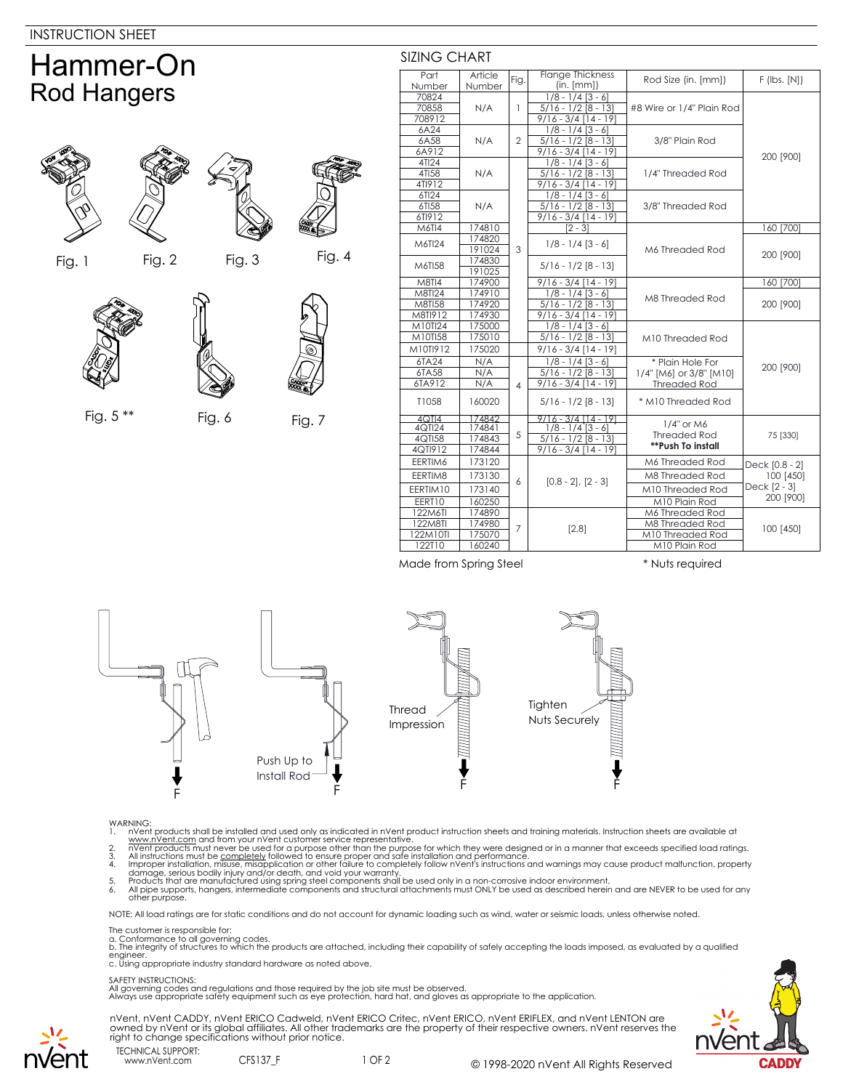## Hammer-On Rod Hangers







Fig. 5 \*\* Fig. 6 Fig. 7

Fig. 1 Fig. 2 Fig. 3 Fig. 4



| Part               | Article          | Fig.           | <b>Flange Thickness</b>           | Rod Size (in. [mm])                 | $F$ (lbs. $[N]$ )                                        |
|--------------------|------------------|----------------|-----------------------------------|-------------------------------------|----------------------------------------------------------|
| Number             | Number           |                | (in. [mm])                        |                                     |                                                          |
| 70824              | N/A              | 1              | $1/8 - 1/4$ [3 - 6]               | #8 Wire or 1/4" Plain Rod           | 200 [900]                                                |
| 70858              |                  |                | $5/16 - 1/2$ [8 - 13]             |                                     |                                                          |
| 708912             |                  |                | $9/16 - 3/4$ [14 - 19]            |                                     |                                                          |
| 6A24               | N/A              | $\mathfrak{D}$ | $1/8 - 1/4$ [3 - 6]               | 3/8" Plain Rod                      |                                                          |
| 6A58               |                  |                | $5/16 - 1/2$ [8 - 13]             |                                     |                                                          |
| 6A912              |                  |                | $9/16 - 3/4$ [14 - 19]            |                                     |                                                          |
| 4TI24              | N/A              |                | $1/8 - 1/4$ [3 - 6]               | 1/4" Threaded Rod                   |                                                          |
| 4TI58              |                  |                | $5/16 - 1/2$ [8 - 13]             |                                     |                                                          |
| 4TI912             |                  |                | $9/16 - 3/4$ [14 - 19]            |                                     |                                                          |
| 6TI24              | N/A              |                | $1/8 - 1/4$ [3 - 6]               | 3/8" Threaded Rod                   |                                                          |
| 6TI58              |                  |                | $5/16 - 1/2 [8 - 13]$             |                                     |                                                          |
| 6TI912             |                  |                | $9/16 - 3/4$ [14 - 19]            |                                     |                                                          |
| M6TI4              | 174810           |                | $\overline{[2-3]}$                | M6 Threaded Rod                     | 160 [700]                                                |
| M6TI24             | 174820           |                | $1/8 - 1/4$ [3 - 6]               |                                     | 200 [900]                                                |
|                    | 191024           | 3              |                                   |                                     |                                                          |
| M6TI58             | 174830           |                | $5/16 - 1/2$ [8 - 13]             |                                     |                                                          |
|                    | 191025           |                |                                   |                                     |                                                          |
| <b>M8TI4</b>       | 174900           |                | $9/16 - 3/4$ [14 - 19]            | M8 Threaded Rod<br>M10 Threaded Rod | 160 [700]<br>200 [900]                                   |
| <b>M8TI24</b>      | 174910           |                | $1/8 - 1/4$ [3 - 6]               |                                     |                                                          |
| M8TI58             | 174920           |                | $5/16 - 1/2$ [8 - 13]             |                                     |                                                          |
| M8TI912            | 174930           |                | $\frac{9}{16}$ - 3/4 [14 - 19]    |                                     |                                                          |
| M10TI24<br>M10TI58 | 175000<br>175010 |                | $1/8 - 1/4$ [3 - 6]               |                                     |                                                          |
|                    |                  |                | $5/16 - 1/2$ [8 - 13]             |                                     |                                                          |
| M10TI912           | 175020           |                | $9/16 - 3/4$ [14 - 19]            |                                     |                                                          |
| 6TA24              | N/A              | 4              | $1/8 - 1/4$ [3 - 6]               | * Plain Hole For                    | 200 [900]                                                |
| 6TA58              | N/A              |                | $5/16 - 1/2$ [8 - 13]             | 1/4" [M6] or 3/8" [M10]             |                                                          |
| 6TA912             | N/A              |                | $9/16 - 3/4$ [14 - 19]            | <b>Threaded Rod</b>                 |                                                          |
| T1058              | 160020           |                | $5/16 - 1/2$ [8 - 13]             | * M10 Threaded Rod                  |                                                          |
| 4QT14              | 74842            |                | $9/16 - 3/4114 - 191$             |                                     |                                                          |
| 4QTI24             | 174841           | 5              | $1/8 - 1/4$ [3 - 6]               | 1/4" or M6<br><b>Threaded Rod</b>   | 75 [330]                                                 |
| 4QTI58             | 174843           |                | $5/16 - 1/2$ [8 - 13]             |                                     |                                                          |
| 4QTI912            | 174844           |                | $9/16 - 3/\overline{4}$ [14 - 19] | **Push To install                   |                                                          |
| EERTIM6            | 173120           | 6              | $[0.8 - 2]$ , $[2 - 3]$           | M6 Threaded Rod                     | Deck [0.8 - 2]<br>100 [450]<br>Deck [2 - 3]<br>200 [900] |
| EERTIM8            | 173130           |                |                                   | M8 Threaded Rod                     |                                                          |
| EERTIM10           | 173140           |                |                                   | M10 Threaded Rod                    |                                                          |
| EERT10             | 160250           |                |                                   | M10 Plain Rod                       |                                                          |
| 122M6TI            | 174890           |                | [2.8]                             | M6 Threaded Rod                     | 100 [450]                                                |
| 122M8TI            | 174980<br>175070 | 7              |                                   | M8 Threaded Rod                     |                                                          |
| 122M10TI           |                  |                |                                   | M10 Threaded Rod                    |                                                          |
| 122T10             | 160240           |                |                                   | M10 Plain Rod                       |                                                          |

Made from Spring Steel \* Nuts required

SIZING CHART



- 
- 
- WARNING:<br>
1. Note that products shall be installed and used only as indicated in nVent product instruction sheets and training materials. Instruction sheets are available at<br>
1. www.nVent.com and from your nVent customer s
- 
- 

NOTE: All load ratings are for static conditions and do not account for dynamic loading such as wind, water or seismic loads, unless otherwise noted.

## The customer is responsible for:

a. Conformance to all governing codes.<br>b. The integrity of structures to which the products are attached, including their capability of safely accepting the loads imposed, as evaluated by a qualified engineer. c. Using appropriate industry standard hardware as noted above.

## SAFETY INSTRUCTIONS:

All governing codes and regulations and those required by the job site must be observed. Always use appropriate safety equipment such as eye protection, hard hat, and gloves as appropriate to the application.



nVent, nVent CADDY, nVent ERICO Cadweld, nVent ERICO Critec, nVent ERICO, nVent ERIFLEX, and nVent LENTON are<br>owned by nVent or its global affiliates. All other trademarks are the property of their respective owners. nVent right to change specifications without prior notice.

TECHNICAL SUPPORT: www.nVent.com CFS137\_F

nvent

1 OF 2 © 1998-2020 nVent All Rights Reserved